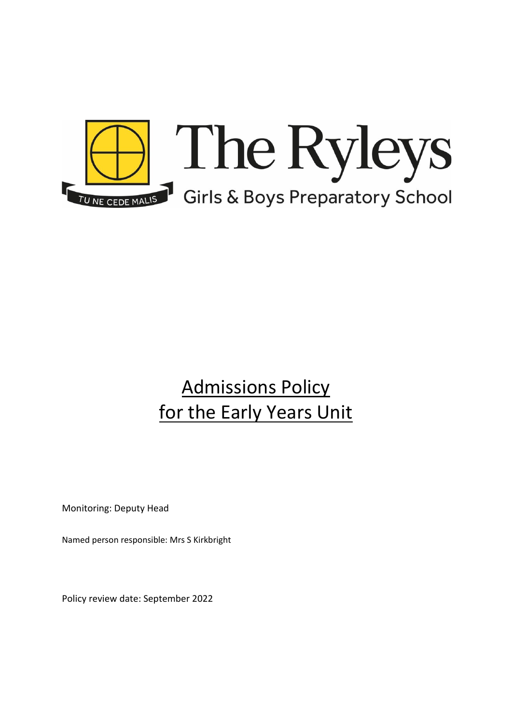

## Admissions Policy for the Early Years Unit

Monitoring: Deputy Head

Named person responsible: Mrs S Kirkbright

Policy review date: September 2022